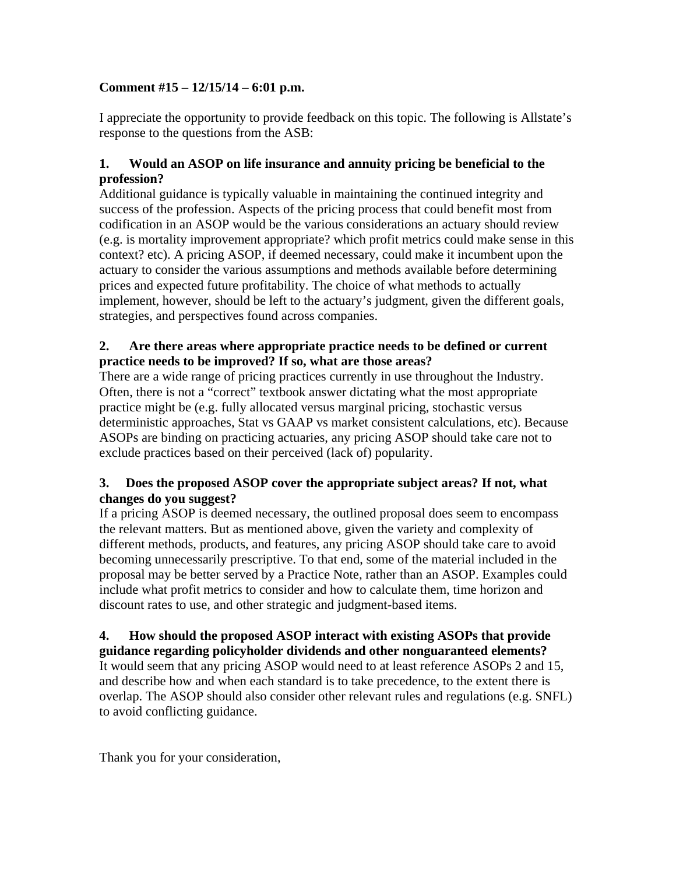## **Comment #15 – 12/15/14 – 6:01 p.m.**

I appreciate the opportunity to provide feedback on this topic. The following is Allstate's response to the questions from the ASB:

### **1. Would an ASOP on life insurance and annuity pricing be beneficial to the profession?**

Additional guidance is typically valuable in maintaining the continued integrity and success of the profession. Aspects of the pricing process that could benefit most from codification in an ASOP would be the various considerations an actuary should review (e.g. is mortality improvement appropriate? which profit metrics could make sense in this context? etc). A pricing ASOP, if deemed necessary, could make it incumbent upon the actuary to consider the various assumptions and methods available before determining prices and expected future profitability. The choice of what methods to actually implement, however, should be left to the actuary's judgment, given the different goals, strategies, and perspectives found across companies.

### **2. Are there areas where appropriate practice needs to be defined or current practice needs to be improved? If so, what are those areas?**

There are a wide range of pricing practices currently in use throughout the Industry. Often, there is not a "correct" textbook answer dictating what the most appropriate practice might be (e.g. fully allocated versus marginal pricing, stochastic versus deterministic approaches, Stat vs GAAP vs market consistent calculations, etc). Because ASOPs are binding on practicing actuaries, any pricing ASOP should take care not to exclude practices based on their perceived (lack of) popularity.

#### **3. Does the proposed ASOP cover the appropriate subject areas? If not, what changes do you suggest?**

If a pricing ASOP is deemed necessary, the outlined proposal does seem to encompass the relevant matters. But as mentioned above, given the variety and complexity of different methods, products, and features, any pricing ASOP should take care to avoid becoming unnecessarily prescriptive. To that end, some of the material included in the proposal may be better served by a Practice Note, rather than an ASOP. Examples could include what profit metrics to consider and how to calculate them, time horizon and discount rates to use, and other strategic and judgment-based items.

# **4. How should the proposed ASOP interact with existing ASOPs that provide**

**guidance regarding policyholder dividends and other nonguaranteed elements?**  It would seem that any pricing ASOP would need to at least reference ASOPs 2 and 15, and describe how and when each standard is to take precedence, to the extent there is overlap. The ASOP should also consider other relevant rules and regulations (e.g. SNFL) to avoid conflicting guidance.

Thank you for your consideration,